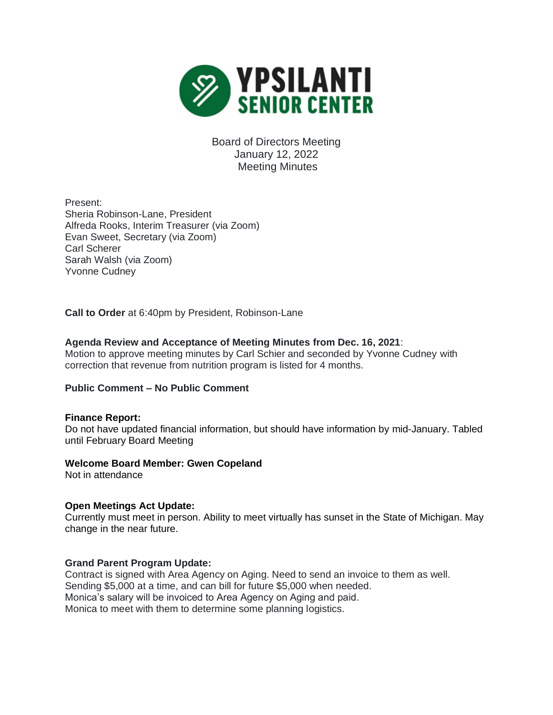

Board of Directors Meeting January 12, 2022 Meeting Minutes

Present: Sheria Robinson-Lane, President Alfreda Rooks, Interim Treasurer (via Zoom) Evan Sweet, Secretary (via Zoom) Carl Scherer Sarah Walsh (via Zoom) Yvonne Cudney

**Call to Order** at 6:40pm by President, Robinson-Lane

# **Agenda Review and Acceptance of Meeting Minutes from Dec. 16, 2021**:

Motion to approve meeting minutes by Carl Schier and seconded by Yvonne Cudney with correction that revenue from nutrition program is listed for 4 months.

## **Public Comment – No Public Comment**

## **Finance Report:**

Do not have updated financial information, but should have information by mid-January. Tabled until February Board Meeting

#### **Welcome Board Member: Gwen Copeland**

Not in attendance

## **Open Meetings Act Update:**

Currently must meet in person. Ability to meet virtually has sunset in the State of Michigan. May change in the near future.

#### **Grand Parent Program Update:**

Contract is signed with Area Agency on Aging. Need to send an invoice to them as well. Sending \$5,000 at a time, and can bill for future \$5,000 when needed. Monica's salary will be invoiced to Area Agency on Aging and paid. Monica to meet with them to determine some planning logistics.